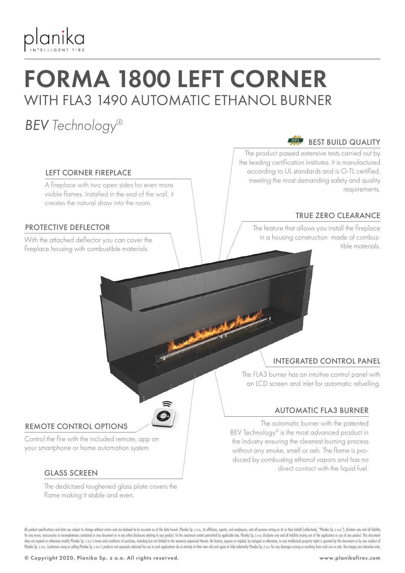

# FORMA 1800 LEFT CORNER WITH FLA3 1490 AUTOMATIC ETHANOL BURNER

### *BEV Technology®*

#### LEFT CORNER FIREPLACE

A fireplace with two open sides for even more visible flames. Installed in the end of the wall, it creates the natural draw into the room.

#### PROTECTIVE DEFLECTOR

fireplace housing with combustible materials.

#### $\overrightarrow{O-TL}$ BEST BUILD QUALITY

The product passed extensive tests carried out by the leading certification institutes. It is manufactured according to UL standards and is O-TL certified, meeting the most demanding safety and quality requirements.

### TRUE ZERO CLEARANCE

The feature that allows you install the fireplace in a housing construction made of combus-With the attached deflector you can cover the the combus-<br>Conclusion is a the materials

### INTEGRATED CONTROL PANEL

The FLA3 burner has an intuitive control panel with an LCD screen and inlet for automatic refuelling.

#### AUTOMATIC FLA3 BURNER

The automatic burner with the patented BEV Technology® is the most advanced product in the industry ensuring the cleanest burning process without any smoke, smell or ash. The flame is produced by combusting ethanol vapors and has no direct contact with the liquid fuel.

#### REMOTE CONTROL OPTIONS

Control the fire with the included remote, app on your smartphone or home automation system.

#### GLASS SCREEN

The dedictaed toughened glass plate covers the flame making it stable and even.

All product specifications and data are subject to change without notice and are believed to be accurate as of the date hereof. Planika So, z o.o., its affiliates, agents, and employees, and all only are action on its or t for any errors, inaccuracies or incompleteness contained in any document or in any other disclosure relating to any product. To the maximum extent permitted by applicable law, Planika Sp. z o.o. disclaims any and all liabi does not expand or otherwise modify Planika Sp. 2 o.o.'s terms and conditions of purchase, including but not limited to the warranty expressed therein. No license, express or implied, by estoppel or otherwise, to any intel Planika Sp. z o.o. Customers using or selling Planika Sp. z o.o.'s products not expressly indicated for use in such applications do so entirely at their own risk and agree to fully indemnify Planika Sp. z o.o. for any dama